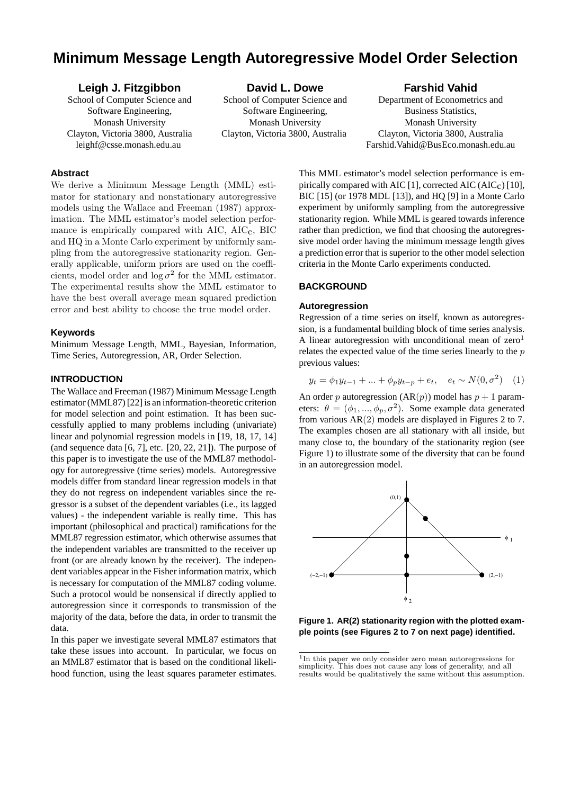# **Minimum Message Length Autoregressive Model Order Selection**

## **Leigh J. Fitzgibbon** School of Computer Science and Software Engineering, Monash University Clayton, Victoria 3800, Australia leighf@csse.monash.edu.au

**David L. Dowe** School of Computer Science and Software Engineering, Monash University Clayton, Victoria 3800, Australia

## **Farshid Vahid**

Department of Econometrics and Business Statistics, Monash University Clayton, Victoria 3800, Australia Farshid.Vahid@BusEco.monash.edu.au

## **Abstract**

We derive a Minimum Message Length (MML) estimator for stationary and nonstationary autoregressive models using the Wallace and Freeman (1987) approximation. The MML estimator's model selection performance is empirically compared with  $AIC$ ,  $AIC<sub>c</sub>$ , BIC and HQ in a Monte Carlo experiment by uniformly sampling from the autoregressive stationarity region. Generally applicable, uniform priors are used on the coefficients, model order and  $\log \sigma^2$  for the MML estimator. The experimental results show the MML estimator to have the best overall average mean squared prediction error and best ability to choose the true model order.

#### **Keywords**

Minimum Message Length, MML, Bayesian, Information, Time Series, Autoregression, AR, Order Selection.

## **INTRODUCTION**

The Wallace and Freeman (1987) Minimum Message Length estimator (MML87) [22] is an information-theoretic criterion for model selection and point estimation. It has been successfully applied to many problems including (univariate) linear and polynomial regression models in [19, 18, 17, 14] (and sequence data  $[6, 7]$ , etc.  $[20, 22, 21]$ ). The purpose of this paper is to investigate the use of the MML87 methodology for autoregressive (time series) models. Autoregressive models differ from standard linear regression models in that they do not regress on independent variables since the regressor is a subset of the dependent variables (i.e., its lagged values) - the independent variable is really time. This has important (philosophical and practical) ramifications for the MML87 regression estimator, which otherwise assumes that the independent variables are transmitted to the receiver up front (or are already known by the receiver). The independent variables appear in the Fisher information matrix, which is necessary for computation of the MML87 coding volume. Such a protocol would be nonsensical if directly applied to autoregression since it corresponds to transmission of the majority of the data, before the data, in order to transmit the data.

In this paper we investigate several MML87 estimators that take these issues into account. In particular, we focus on an MML87 estimator that is based on the conditional likelihood function, using the least squares parameter estimates.

This MML estimator's model selection performance is empirically compared with AIC [1], corrected AIC (AIC<sub>c</sub>) [10], BIC [15] (or 1978 MDL [13]), and HQ [9] in a Monte Carlo experiment by uniformly sampling from the autoregressive stationarity region. While MML is geared towards inference rather than prediction, we find that choosing the autoregressive model order having the minimum message length gives a prediction error that is superior to the other model selection criteria in the Monte Carlo experiments conducted.

## **BACKGROUND**

#### **Autoregression**

Regression of a time series on itself, known as autoregression, is a fundamental building block of time series analysis. A linear autoregression with unconditional mean of  $zero<sup>1</sup>$ relates the expected value of the time series linearly to the p previous values:

$$
y_t = \phi_1 y_{t-1} + \dots + \phi_p y_{t-p} + e_t, \quad e_t \sim N(0, \sigma^2) \quad (1)
$$

An order p autoregression  $(AR(p))$  model has  $p + 1$  parameters:  $\theta = (\phi_1, ..., \phi_p, \sigma^2)$ . Some example data generated from various AR(2) models are displayed in Figures 2 to 7. The examples chosen are all stationary with all inside, but many close to, the boundary of the stationarity region (see Figure 1) to illustrate some of the diversity that can be found in an autoregression model.



**Figure 1. AR(2) stationarity region with the plotted example points (see Figures 2 to 7 on next page) identified.**

<sup>1</sup> In this paper we only consider zero mean autoregressions for simplicity. This does not cause any loss of generality, and all results would be qualitatively the same without this assumption.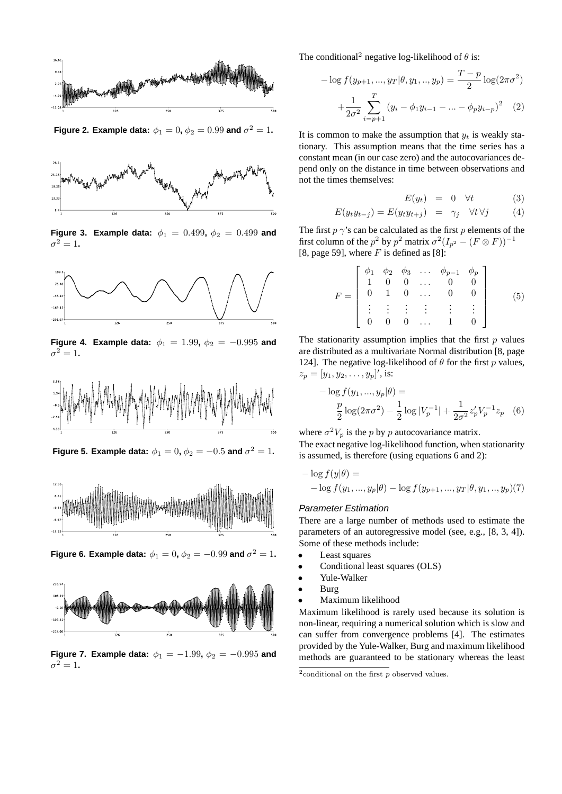

**Figure 2. Example data:**  $\phi_1 = 0$ ,  $\phi_2 = 0.99$  and  $\sigma^2 = 1$ .



**Figure 3. Example data:**  $\phi_1 = 0.499$ ,  $\phi_2 = 0.499$  and  $\sigma^2 = 1$ .



**Figure 4. Example data:**  $\phi_1 = 1.99$ ,  $\phi_2 = -0.995$  and  $\sigma^2 = 1$ .



Figure 5. Example data:  $\phi_1=0, \phi_2=-0.5$  and  $\sigma^2=1.$ 



**Figure 6. Example data:**  $\phi_1 = 0$ ,  $\phi_2 = -0.99$  and  $\sigma^2 = 1$ .



**Figure 7. Example data:**  $\phi_1 = -1.99$ ,  $\phi_2 = -0.995$  and  $\sigma^2=1$ .

The conditional<sup>2</sup> negative log-likelihood of  $\theta$  is:

$$
-\log f(y_{p+1}, ..., y_T | \theta, y_1, ..., y_p) = \frac{T-p}{2} \log(2\pi\sigma^2)
$$

$$
+\frac{1}{2\sigma^2} \sum_{i=p+1}^T (y_i - \phi_1 y_{i-1} - ... - \phi_p y_{i-p})^2 \quad (2)
$$

It is common to make the assumption that  $y_t$  is weakly stationary. This assumption means that the time series has a constant mean (in our case zero) and the autocovariances depend only on the distance in time between observations and not the times themselves:

$$
E(y_t) = 0 \quad \forall t \tag{3}
$$

$$
E(y_t y_{t-j}) = E(y_t y_{t+j}) = \gamma_j \quad \forall t \forall j \tag{4}
$$

The first  $p \gamma$ 's can be calculated as the first p elements of the first column of the  $p^2$  by  $p^2$  matrix  $\sigma^2(I_{p^2} - (F \otimes F))^{-1}$ [8, page 59], where  $F$  is defined as [8]:

$$
F = \begin{bmatrix} \phi_1 & \phi_2 & \phi_3 & \dots & \phi_{p-1} & \phi_p \\ 1 & 0 & 0 & \dots & 0 & 0 \\ 0 & 1 & 0 & \dots & 0 & 0 \\ \vdots & \vdots & \vdots & \vdots & \vdots & \vdots \\ 0 & 0 & 0 & \dots & 1 & 0 \end{bmatrix}
$$
 (5)

The stationarity assumption implies that the first  $p$  values are distributed as a multivariate Normal distribution [8, page 124]. The negative log-likelihood of  $\theta$  for the first p values,  $z_p = [y_1, y_2, \dots, y_p]'$ , is:

$$
-\log f(y_1, ..., y_p|\theta) =
$$
  

$$
\frac{p}{2}\log(2\pi\sigma^2) - \frac{1}{2}\log|V_p^{-1}| + \frac{1}{2\sigma^2}z'_pV_p^{-1}z_p
$$
 (6)

where  $\sigma^2 V_p$  is the p by p autocovariance matrix.

The exact negative log-likelihood function, when stationarity is assumed, is therefore (using equations 6 and 2):

$$
- \log f(y|\theta) =
$$
  
-  $\log f(y_1, ..., y_p|\theta) - \log f(y_{p+1}, ..., y_T|\theta, y_1, ..., y_p)(7)$ 

#### Parameter Estimation

There are a large number of methods used to estimate the parameters of an autoregressive model (see, e.g., [8, 3, 4]). Some of these methods include:

- Least squares
- Conditional least squares (OLS)
- Yule-Walker
- Burg
- Maximum likelihood

Maximum likelihood is rarely used because its solution is non-linear, requiring a numerical solution which is slow and can suffer from convergence problems [4]. The estimates provided by the Yule-Walker, Burg and maximum likelihood methods are guaranteed to be stationary whereas the least

 $^{2}$ conditional on the first  $p$  observed values.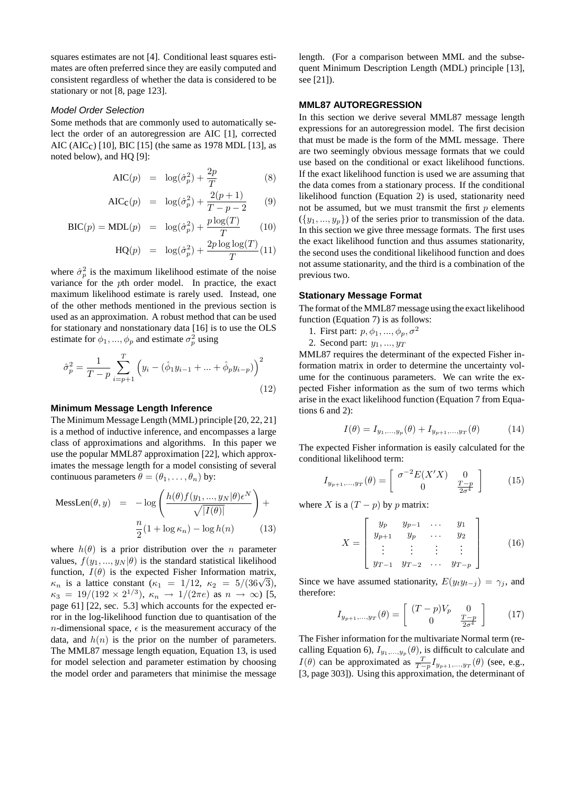squares estimates are not [4]. Conditional least squares estimates are often preferred since they are easily computed and consistent regardless of whether the data is considered to be stationary or not [8, page 123].

#### Model Order Selection

Some methods that are commonly used to automatically select the order of an autoregression are AIC [1], corrected AIC (AIC<sub>c</sub>) [10], BIC [15] (the same as 1978 MDL [13], as noted below), and HQ [9]:

$$
AIC(p) = \log(\hat{\sigma}_p^2) + \frac{2p}{T}
$$
 (8)

$$
AIC_{\mathbf{C}}(p) = \log(\hat{\sigma}_p^2) + \frac{2(p+1)}{T - p - 2} \tag{9}
$$

$$
BIC(p) = MDL(p) = \log(\hat{\sigma}_p^2) + \frac{p \log(T)}{T}
$$
 (10)

$$
HQ(p) = \log(\hat{\sigma}_p^2) + \frac{2p \log \log(T)}{T} (11)
$$

where  $\hat{\sigma}_p^2$  is the maximum likelihood estimate of the noise variance for the pth order model. In practice, the exact maximum likelihood estimate is rarely used. Instead, one of the other methods mentioned in the previous section is used as an approximation. A robust method that can be used for stationary and nonstationary data [16] is to use the OLS estimate for  $\phi_1, ..., \phi_p$  and estimate  $\sigma_p^2$  using

$$
\hat{\sigma}_p^2 = \frac{1}{T - p} \sum_{i=p+1}^T \left( y_i - (\hat{\phi}_1 y_{i-1} + \dots + \hat{\phi}_p y_{i-p}) \right)^2
$$
\n(12)

#### **Minimum Message Length Inference**

The Minimum Message Length (MML) principle [20, 22, 21] is a method of inductive inference, and encompasses a large class of approximations and algorithms. In this paper we use the popular MML87 approximation [22], which approximates the message length for a model consisting of several continuous parameters  $\theta = (\theta_1, \dots, \theta_n)$  by:

$$
\text{Message}( \theta, y) = -\log \left( \frac{h(\theta) f(y_1, ..., y_N | \theta) \epsilon^N}{\sqrt{|I(\theta)|}} \right) +
$$

$$
\frac{n}{2} (1 + \log \kappa_n) - \log h(n) \qquad (13)
$$

where  $h(\theta)$  is a prior distribution over the *n* parameter values,  $f(y_1, ..., y_N | \theta)$  is the standard statistical likelihood function,  $I(\theta)$  is the expected Fisher Information matrix, runction,  $I(\theta)$  is the expected Fisher Information matrix,<br>  $\kappa_n$  is a lattice constant  $(\kappa_1 = 1/12, \kappa_2 = 5/(36\sqrt{3}))$ ,  $\kappa_3 = 19/(192 \times 2^{1/3}), \ \kappa_n \to 1/(2\pi e) \text{ as } n \to \infty$ ) [5, page 61] [22, sec. 5.3] which accounts for the expected error in the log-likelihood function due to quantisation of the *n*-dimensional space,  $\epsilon$  is the measurement accuracy of the data, and  $h(n)$  is the prior on the number of parameters. The MML87 message length equation, Equation 13, is used for model selection and parameter estimation by choosing the model order and parameters that minimise the message length. (For a comparison between MML and the subsequent Minimum Description Length (MDL) principle [13], see [21]).

#### **MML87 AUTOREGRESSION**

In this section we derive several MML87 message length expressions for an autoregression model. The first decision that must be made is the form of the MML message. There are two seemingly obvious message formats that we could use based on the conditional or exact likelihood functions. If the exact likelihood function is used we are assuming that the data comes from a stationary process. If the conditional likelihood function (Equation 2) is used, stationarity need not be assumed, but we must transmit the first  $p$  elements  $({y_1},...,y_n)$  of the series prior to transmission of the data. In this section we give three message formats. The first uses the exact likelihood function and thus assumes stationarity, the second uses the conditional likelihood function and does not assume stationarity, and the third is a combination of the previous two.

#### **Stationary Message Format**

The format of the MML87 message using the exact likelihood function (Equation 7) is as follows:

- 1. First part:  $p, \phi_1, ..., \phi_p, \sigma^2$
- 2. Second part:  $y_1, \ldots, y_T$

MML87 requires the determinant of the expected Fisher information matrix in order to determine the uncertainty volume for the continuous parameters. We can write the expected Fisher information as the sum of two terms which arise in the exact likelihood function (Equation 7 from Equations 6 and 2):

$$
I(\theta) = I_{y_1, ..., y_p}(\theta) + I_{y_{p+1}, ..., y_T}(\theta)
$$
 (14)

The expected Fisher information is easily calculated for the conditional likelihood term:

$$
I_{y_{p+1},...,y_T}(\theta) = \begin{bmatrix} \sigma^{-2} E(X'X) & 0\\ 0 & \frac{T-p}{2\sigma^4} \end{bmatrix}
$$
 (15)

where X is a  $(T - p)$  by p matrix:

$$
X = \begin{bmatrix} y_p & y_{p-1} & \cdots & y_1 \\ y_{p+1} & y_p & \cdots & y_2 \\ \vdots & \vdots & \vdots & \vdots \\ y_{T-1} & y_{T-2} & \cdots & y_{T-p} \end{bmatrix} \tag{16}
$$

Since we have assumed stationarity,  $E(y_t y_{t-j}) = \gamma_j$ , and therefore:

$$
I_{y_{p+1},...,y_T}(\theta) = \begin{bmatrix} (T-p)V_p & 0\\ 0 & \frac{T-p}{2\sigma^4} \end{bmatrix}
$$
 (17)

The Fisher information for the multivariate Normal term (recalling Equation 6),  $I_{y_1,...,y_p}(\theta)$ , is difficult to calculate and  $I(\theta)$  can be approximated as  $\frac{T}{T-p}I_{y_{p+1},...,y_T}(\theta)$  (see, e.g., [3, page 303]). Using this approximation, the determinant of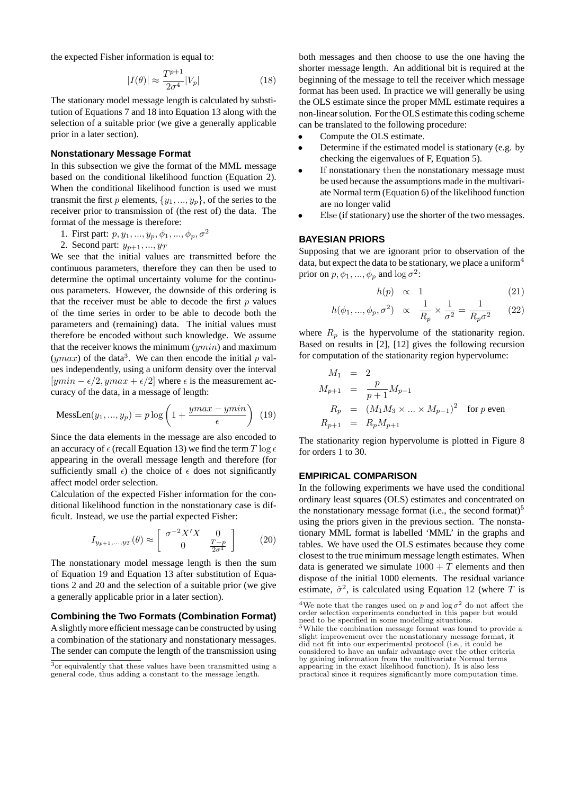the expected Fisher information is equal to:

$$
|I(\theta)| \approx \frac{T^{p+1}}{2\sigma^4} |V_p| \tag{18}
$$

The stationary model message length is calculated by substitution of Equations 7 and 18 into Equation 13 along with the selection of a suitable prior (we give a generally applicable prior in a later section).

#### **Nonstationary Message Format**

In this subsection we give the format of the MML message based on the conditional likelihood function (Equation 2). When the conditional likelihood function is used we must transmit the first p elements,  $\{y_1, ..., y_p\}$ , of the series to the receiver prior to transmission of (the rest of) the data. The format of the message is therefore:

- 1. First part:  $p, y_1, ..., y_p, \phi_1, ..., \phi_p, \sigma^2$
- 2. Second part:  $y_{n+1},..., y_T$

We see that the initial values are transmitted before the continuous parameters, therefore they can then be used to determine the optimal uncertainty volume for the continuous parameters. However, the downside of this ordering is that the receiver must be able to decode the first  $p$  values of the time series in order to be able to decode both the parameters and (remaining) data. The initial values must therefore be encoded without such knowledge. We assume that the receiver knows the minimum  $($ umin) and maximum  $(ymax)$  of the data<sup>3</sup>. We can then encode the initial p values independently, using a uniform density over the interval  $[ymin - \epsilon/2, ymax + \epsilon/2]$  where  $\epsilon$  is the measurement accuracy of the data, in a message of length:

$$
\text{Message}(y_1, ..., y_p) = p \log \left( 1 + \frac{ymax - ymin}{\epsilon} \right) (19)
$$

Since the data elements in the message are also encoded to an accuracy of  $\epsilon$  (recall Equation 13) we find the term T log  $\epsilon$ appearing in the overall message length and therefore (for sufficiently small  $\epsilon$ ) the choice of  $\epsilon$  does not significantly affect model order selection.

Calculation of the expected Fisher information for the conditional likelihood function in the nonstationary case is difficult. Instead, we use the partial expected Fisher:

$$
I_{y_{p+1},...,y_T}(\theta) \approx \begin{bmatrix} \sigma^{-2} X' X & 0\\ 0 & \frac{T-p}{2\sigma^4} \end{bmatrix}
$$
 (20)

The nonstationary model message length is then the sum of Equation 19 and Equation 13 after substitution of Equations 2 and 20 and the selection of a suitable prior (we give a generally applicable prior in a later section).

#### **Combining the Two Formats (Combination Format)**

A slightly more efficient message can be constructed by using a combination of the stationary and nonstationary messages. The sender can compute the length of the transmission using

both messages and then choose to use the one having the shorter message length. An additional bit is required at the beginning of the message to tell the receiver which message format has been used. In practice we will generally be using the OLS estimate since the proper MML estimate requires a non-linear solution. For the OLS estimate this coding scheme can be translated to the following procedure:

- Compute the OLS estimate.
- Determine if the estimated model is stationary (e.g. by checking the eigenvalues of F, Equation 5).
- If nonstationary then the nonstationary message must be used because the assumptions made in the multivariate Normal term (Equation 6) of the likelihood function are no longer valid
- Else (if stationary) use the shorter of the two messages.

#### **BAYESIAN PRIORS**

Supposing that we are ignorant prior to observation of the data, but expect the data to be stationary, we place a uniform<sup>4</sup> prior on  $p, \phi_1, ..., \phi_p$  and  $\log \sigma^2$ :

$$
h(p) \propto 1 \tag{21}
$$

$$
h(\phi_1, ..., \phi_p, \sigma^2) \propto \frac{1}{R_p} \times \frac{1}{\sigma^2} = \frac{1}{R_p \sigma^2}
$$
 (22)

where  $R_p$  is the hypervolume of the stationarity region. Based on results in [2], [12] gives the following recursion for computation of the stationarity region hypervolume:

$$
M_1 = 2
$$
  
\n
$$
M_{p+1} = \frac{p}{p+1} M_{p-1}
$$
  
\n
$$
R_p = (M_1 M_3 \times ... \times M_{p-1})^2
$$
 for p even  
\n
$$
R_{p+1} = R_p M_{p+1}
$$

The stationarity region hypervolume is plotted in Figure 8 for orders 1 to 30.

#### **EMPIRICAL COMPARISON**

In the following experiments we have used the conditional ordinary least squares (OLS) estimates and concentrated on the nonstationary message format (i.e., the second format)<sup>5</sup> using the priors given in the previous section. The nonstationary MML format is labelled 'MML' in the graphs and tables. We have used the OLS estimates because they come closest to the true minimum message length estimates. When data is generated we simulate  $1000 + T$  elements and then dispose of the initial 1000 elements. The residual variance estimate,  $\hat{\sigma}^2$ , is calculated using Equation 12 (where T is

 $\overline{3\text{or equivalently}}$  that these values have been transmitted using a general code, thus adding a constant to the message length.

<sup>&</sup>lt;sup>4</sup>We note that the ranges used on p and  $\log \sigma^2$  do not affect the order selection experiments conducted in this paper but would need to be specified in some modelling situations. <sup>5</sup>While the combination message format was found to provide a

slight improvement over the nonstationary message format, it did not fit into our experimental protocol (i.e., it could be considered to have an unfair advantage over the other criteria by gaining information from the multivariate Normal terms appearing in the exact likelihood function). It is also less practical since it requires significantly more computation time.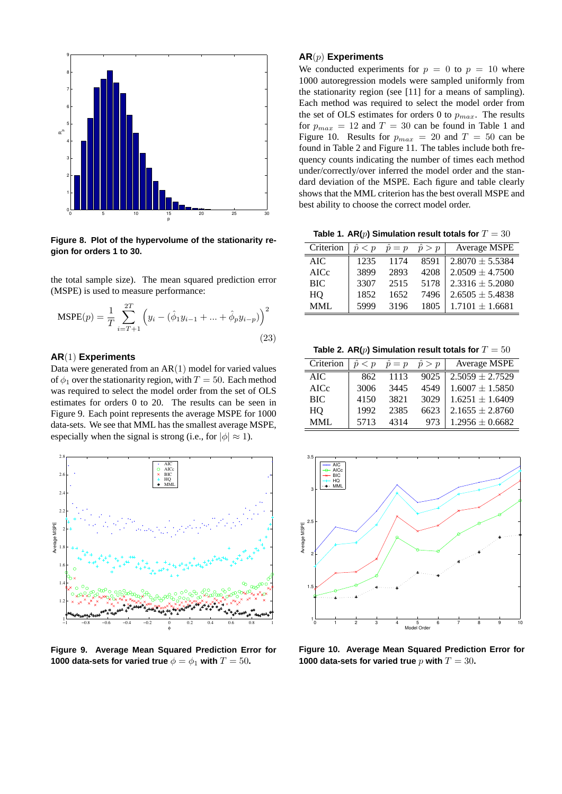

**Figure 8. Plot of the hypervolume of the stationarity region for orders 1 to 30.**

the total sample size). The mean squared prediction error (MSPE) is used to measure performance:

$$
\text{MSPE}(p) = \frac{1}{T} \sum_{i=T+1}^{2T} \left( y_i - (\hat{\phi}_1 y_{i-1} + \dots + \hat{\phi}_p y_{i-p}) \right)^2
$$
\n(23)

## **AR**(1) **Experiments**

Data were generated from an AR(1) model for varied values of  $\phi_1$  over the stationarity region, with  $T = 50$ . Each method was required to select the model order from the set of OLS estimates for orders 0 to 20. The results can be seen in Figure 9. Each point represents the average MSPE for 1000 data-sets. We see that MML has the smallest average MSPE, especially when the signal is strong (i.e., for  $|\phi| \approx 1$ ).



**Figure 9. Average Mean Squared Prediction Error for 1000 data-sets for varied true**  $\phi = \phi_1$  with  $T = 50$ .

## **AR**(p) **Experiments**

We conducted experiments for  $p = 0$  to  $p = 10$  where 1000 autoregression models were sampled uniformly from the stationarity region (see [11] for a means of sampling). Each method was required to select the model order from the set of OLS estimates for orders 0 to  $p_{max}$ . The results for  $p_{max} = 12$  and  $T = 30$  can be found in Table 1 and Figure 10. Results for  $p_{max} = 20$  and  $T = 50$  can be found in Table 2 and Figure 11. The tables include both frequency counts indicating the number of times each method under/correctly/over inferred the model order and the standard deviation of the MSPE. Each figure and table clearly shows that the MML criterion has the best overall MSPE and best ability to choose the correct model order.

**Table 1. AR(p) Simulation result totals for**  $T = 30$ 

| Criterion  | ô<br>$\langle p \rangle$ | $\hat{p} = p$ | $\hat{p} > p$ | Average MSPE        |
|------------|--------------------------|---------------|---------------|---------------------|
| AIC.       | 1235                     | 1174          | 8591          | $2.8070 \pm 5.5384$ |
| AICc       | 3899                     | 2893          | 4208          | $2.0509 \pm 4.7500$ |
| <b>BIC</b> | 3307                     | 2515          | 5178          | $2.3316 \pm 5.2080$ |
| HO         | 1852                     | 1652          | 7496          | $2.6505 \pm 5.4838$ |
| MML.       | 5999                     | 3196          | 1805          | $1.7101 + 1.6681$   |

Table 2.  $AR(p)$  Simulation result totals for  $T = 50$ 

| Criterion  | $\hat{p} < p$ | $\hat{p} = p$ | $\hat{p} > p$ | Average MSPE        |
|------------|---------------|---------------|---------------|---------------------|
| AIC        | 862           | 1113          | 9025          | $2.5059 \pm 2.7529$ |
| AICc       | 3006          | 3445          | 4549          | $1.6007 \pm 1.5850$ |
| <b>BIC</b> | 4150          | 3821          | 3029          | $1.6251 + 1.6409$   |
| HO         | 1992          | 2385          | 6623          | $2.1655 \pm 2.8760$ |
| MMI.       | 5713          | 4314          | 973           | $1.2956 \pm 0.6682$ |



**Figure 10. Average Mean Squared Prediction Error for 1000 data-sets for varied true** p with  $T = 30$ .